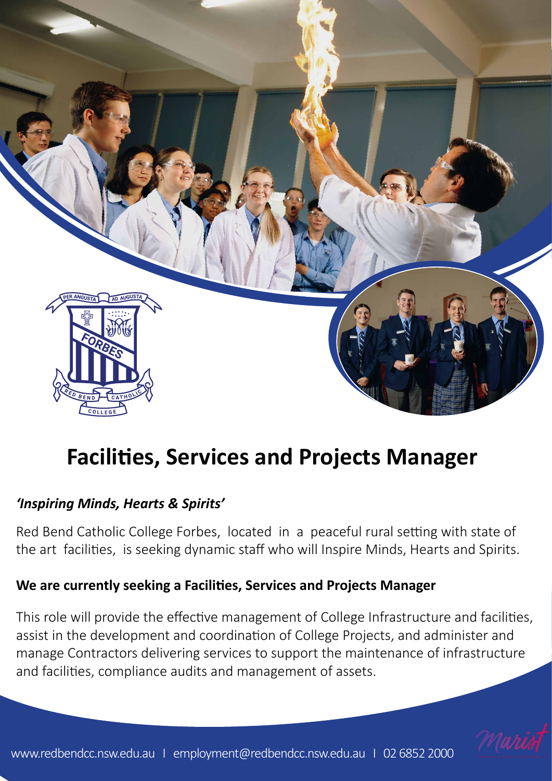

# **Facilities, Services and Projects Manager**

### *'Inspiring Minds, Hearts & Spirits'*

Red Bend Catholic College Forbes, located in a peaceful rural setting with state of the art facilities, is seeking dynamic staff who will Inspire Minds, Hearts and Spirits.

### **We are currently seeking a Facilities, Services and Projects Manager**

This role will provide the effective management of College Infrastructure and facilities, assist in the development and coordination of College Projects, and administer and manage Contractors delivering services to support the maintenance of infrastructure and facilities, compliance audits and management of assets.

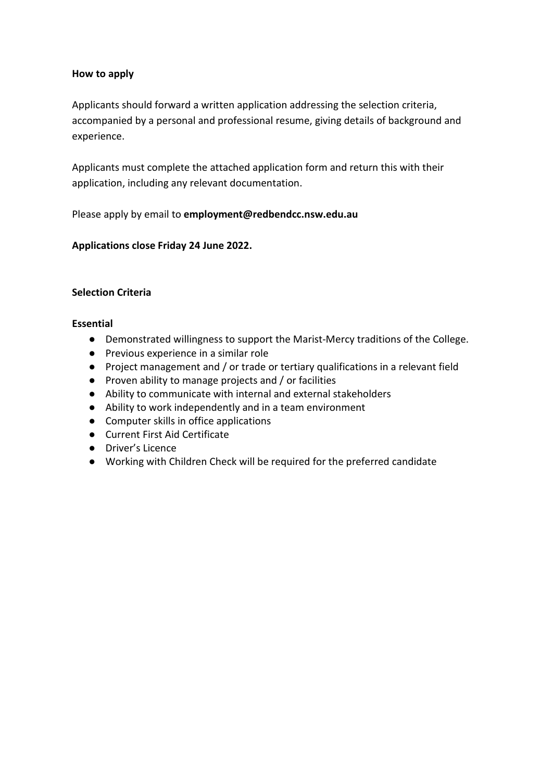#### **How to apply**

Applicants should forward a written application addressing the selection criteria, accompanied by a personal and professional resume, giving details of background and experience.

Applicants must complete the attached application form and return this with their application, including any relevant documentation.

Please apply by email to **employmen[t@redbendcc.nsw.edu.au](mailto:principal@redbendcc.nsw.edu.au)**

#### **Applications close Friday 24 June 2022.**

#### **Selection Criteria**

#### **Essential**

- Demonstrated willingness to support the Marist-Mercy traditions of the College.
- Previous experience in a similar role
- Project management and / or trade or tertiary qualifications in a relevant field
- Proven ability to manage projects and / or facilities
- Ability to communicate with internal and external stakeholders
- Ability to work independently and in a team environment
- Computer skills in office applications
- Current First Aid Certificate
- Driver's Licence
- Working with Children Check will be required for the preferred candidate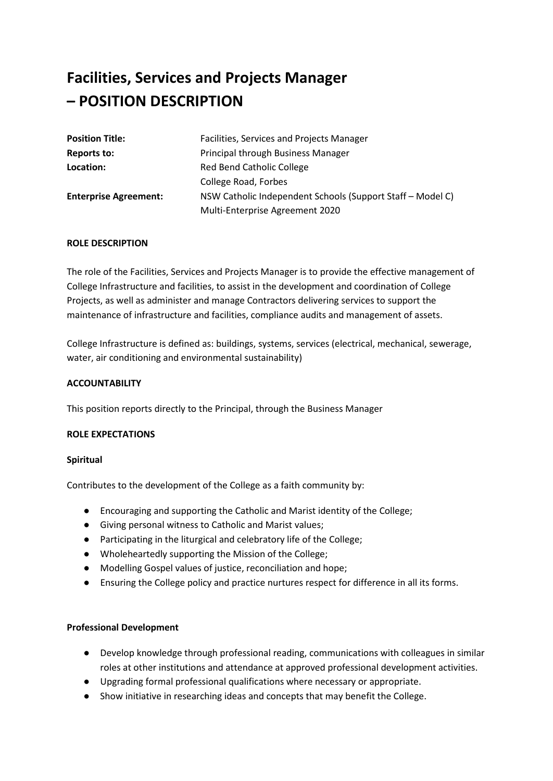## **Facilities, Services and Projects Manager – POSITION DESCRIPTION**

| <b>Position Title:</b>       | Facilities, Services and Projects Manager                  |
|------------------------------|------------------------------------------------------------|
| Reports to:                  | Principal through Business Manager                         |
| Location:                    | Red Bend Catholic College                                  |
|                              | College Road, Forbes                                       |
| <b>Enterprise Agreement:</b> | NSW Catholic Independent Schools (Support Staff – Model C) |
|                              | Multi-Enterprise Agreement 2020                            |

#### **ROLE DESCRIPTION**

The role of the Facilities, Services and Projects Manager is to provide the effective management of College Infrastructure and facilities, to assist in the development and coordination of College Projects, as well as administer and manage Contractors delivering services to support the maintenance of infrastructure and facilities, compliance audits and management of assets.

College Infrastructure is defined as: buildings, systems, services (electrical, mechanical, sewerage, water, air conditioning and environmental sustainability)

#### **ACCOUNTABILITY**

This position reports directly to the Principal, through the Business Manager

#### **ROLE EXPECTATIONS**

#### **Spiritual**

Contributes to the development of the College as a faith community by:

- Encouraging and supporting the Catholic and Marist identity of the College;
- Giving personal witness to Catholic and Marist values;
- Participating in the liturgical and celebratory life of the College;
- Wholeheartedly supporting the Mission of the College;
- Modelling Gospel values of justice, reconciliation and hope;
- Ensuring the College policy and practice nurtures respect for difference in all its forms.

#### **Professional Development**

- Develop knowledge through professional reading, communications with colleagues in similar roles at other institutions and attendance at approved professional development activities.
- Upgrading formal professional qualifications where necessary or appropriate.
- Show initiative in researching ideas and concepts that may benefit the College.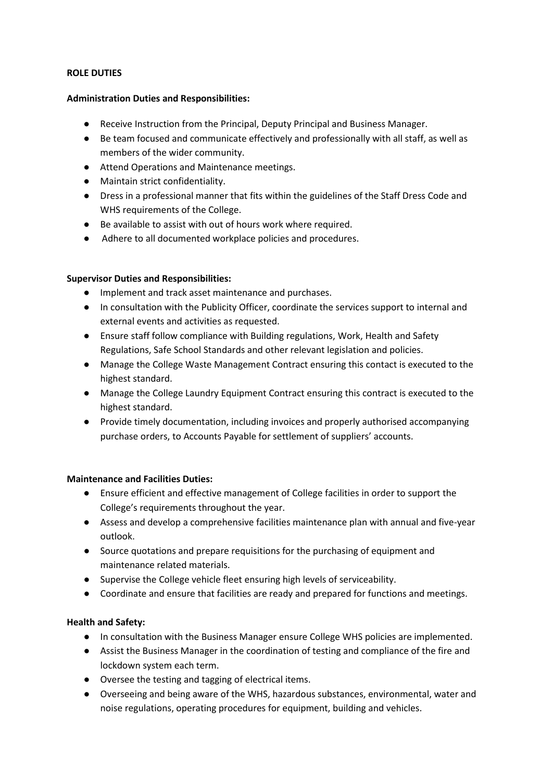#### **ROLE DUTIES**

#### **Administration Duties and Responsibilities:**

- Receive Instruction from the Principal, Deputy Principal and Business Manager.
- Be team focused and communicate effectively and professionally with all staff, as well as members of the wider community.
- Attend Operations and Maintenance meetings.
- Maintain strict confidentiality.
- Dress in a professional manner that fits within the guidelines of the Staff Dress Code and WHS requirements of the College.
- Be available to assist with out of hours work where required.
- Adhere to all documented workplace policies and procedures.

#### **Supervisor Duties and Responsibilities:**

- Implement and track asset maintenance and purchases.
- In consultation with the Publicity Officer, coordinate the services support to internal and external events and activities as requested.
- Ensure staff follow compliance with Building regulations, Work, Health and Safety Regulations, Safe School Standards and other relevant legislation and policies.
- Manage the College Waste Management Contract ensuring this contact is executed to the highest standard.
- Manage the College Laundry Equipment Contract ensuring this contract is executed to the highest standard.
- Provide timely documentation, including invoices and properly authorised accompanying purchase orders, to Accounts Payable for settlement of suppliers' accounts.

#### **Maintenance and Facilities Duties:**

- Ensure efficient and effective management of College facilities in order to support the College's requirements throughout the year.
- Assess and develop a comprehensive facilities maintenance plan with annual and five-year outlook.
- Source quotations and prepare requisitions for the purchasing of equipment and maintenance related materials.
- Supervise the College vehicle fleet ensuring high levels of serviceability.
- Coordinate and ensure that facilities are ready and prepared for functions and meetings.

#### **Health and Safety:**

- In consultation with the Business Manager ensure College WHS policies are implemented.
- Assist the Business Manager in the coordination of testing and compliance of the fire and lockdown system each term.
- Oversee the testing and tagging of electrical items.
- Overseeing and being aware of the WHS, hazardous substances, environmental, water and noise regulations, operating procedures for equipment, building and vehicles.